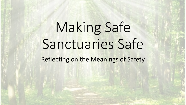# Making Safe Sanctuaries Safe

Reflecting on the Meanings of Safety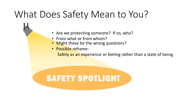# What Does Safety Mean to You?

- Are we protecting someone? If so, who?
- From what or from whom?
- **Might these be the wrong questions?**
- Possible reframe:

Safety as an experience or feeling rather than a state of being

## **SAFETY SPOTLIGHT**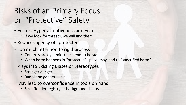### Risks of an Primary Focus on "Protective" Safety

- Fosters Hyper-attentiveness and Fear
	- If we look for threats, we will find them
- Reduces agency of "protected"
- Too much attention to rigid process
	- Contexts are dynamic, rules tend to be static
	- When harm happens in "protected" space, may lead to "sanctified harm"
- Plays into Existing Biases or Stereotypes
	- Stranger danger
	- Racial and gender justice
- May lead to overconfidence in tools on hand
	- Sex offender registry or background checks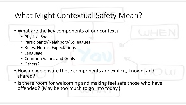#### What Might Contextual Safety Mean?

- What are the key components of our context?
	- Physical Space
	- Participants/Neighbors/Colleagues
	- Rules, Norms, Expectations
	- Language
	- Common Values and Goals
	- Others?
- How do we ensure these components are explicit, known, and shared?
- Is there room for welcoming and making feel safe those who have offended? (May be too much to go into today.)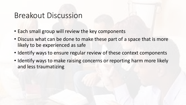#### Breakout Discussion

- Each small group will review the key components
- Discuss what can be done to make these part of a space that is more likely to be experienced as safe
- Identify ways to ensure regular review of these context components
- Identify ways to make raising concerns or reporting harm more likely and less traumatizing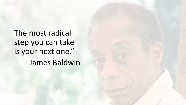The most radical step you can take is your next one."

-- James Baldwin